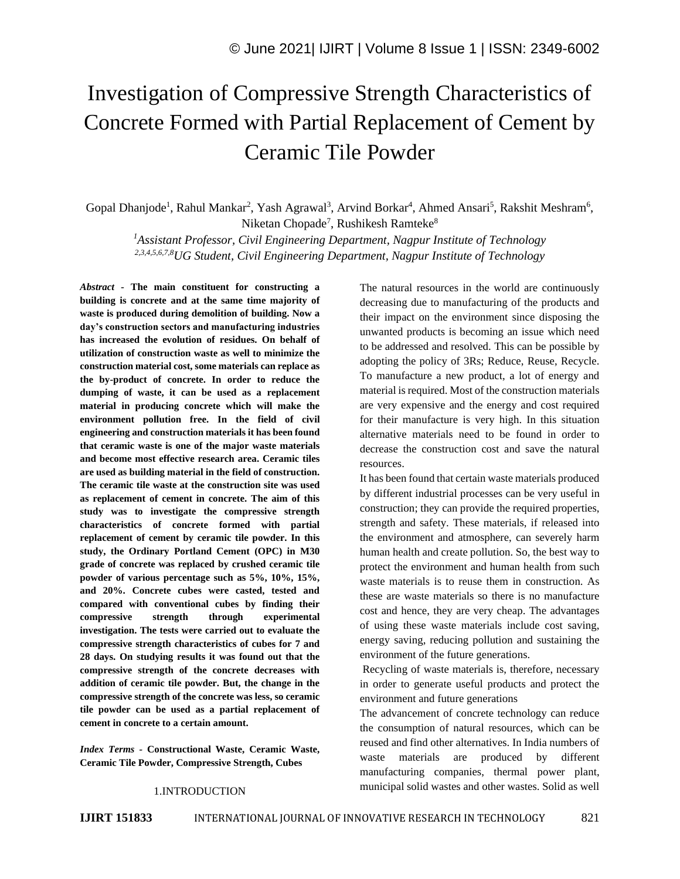# Investigation of Compressive Strength Characteristics of Concrete Formed with Partial Replacement of Cement by Ceramic Tile Powder

Gopal Dhanjode<sup>1</sup>, Rahul Mankar<sup>2</sup>, Yash Agrawal<sup>3</sup>, Arvind Borkar<sup>4</sup>, Ahmed Ansari<sup>5</sup>, Rakshit Meshram<sup>6</sup>, Niketan Chopade<sup>7</sup>, Rushikesh Ramteke<sup>8</sup>

*<sup>1</sup>Assistant Professor, Civil Engineering Department, Nagpur Institute of Technology 2,3,4,5,6,7,8UG Student, Civil Engineering Department, Nagpur Institute of Technology*

*Abstract -* **The main constituent for constructing a building is concrete and at the same time majority of waste is produced during demolition of building. Now a day's construction sectors and manufacturing industries has increased the evolution of residues. On behalf of utilization of construction waste as well to minimize the construction material cost, some materials can replace as the by-product of concrete. In order to reduce the dumping of waste, it can be used as a replacement material in producing concrete which will make the environment pollution free. In the field of civil engineering and construction materials it has been found that ceramic waste is one of the major waste materials and become most effective research area. Ceramic tiles are used as building material in the field of construction. The ceramic tile waste at the construction site was used as replacement of cement in concrete. The aim of this study was to investigate the compressive strength characteristics of concrete formed with partial replacement of cement by ceramic tile powder. In this study, the Ordinary Portland Cement (OPC) in M30 grade of concrete was replaced by crushed ceramic tile powder of various percentage such as 5%, 10%, 15%, and 20%. Concrete cubes were casted, tested and compared with conventional cubes by finding their compressive strength through experimental investigation. The tests were carried out to evaluate the compressive strength characteristics of cubes for 7 and 28 days. On studying results it was found out that the compressive strength of the concrete decreases with addition of ceramic tile powder. But, the change in the compressive strength of the concrete was less, so ceramic tile powder can be used as a partial replacement of cement in concrete to a certain amount.**

*Index Terms -* **Constructional Waste, Ceramic Waste, Ceramic Tile Powder, Compressive Strength, Cubes**

The natural resources in the world are continuously decreasing due to manufacturing of the products and their impact on the environment since disposing the unwanted products is becoming an issue which need to be addressed and resolved. This can be possible by adopting the policy of 3Rs; Reduce, Reuse, Recycle. To manufacture a new product, a lot of energy and material is required. Most of the construction materials are very expensive and the energy and cost required for their manufacture is very high. In this situation alternative materials need to be found in order to decrease the construction cost and save the natural resources.

It has been found that certain waste materials produced by different industrial processes can be very useful in construction; they can provide the required properties, strength and safety. These materials, if released into the environment and atmosphere, can severely harm human health and create pollution. So, the best way to protect the environment and human health from such waste materials is to reuse them in construction. As these are waste materials so there is no manufacture cost and hence, they are very cheap. The advantages of using these waste materials include cost saving, energy saving, reducing pollution and sustaining the environment of the future generations.

Recycling of waste materials is, therefore, necessary in order to generate useful products and protect the environment and future generations

The advancement of concrete technology can reduce the consumption of natural resources, which can be reused and find other alternatives. In India numbers of waste materials are produced by different manufacturing companies, thermal power plant, municipal solid wastes and other wastes. Solid as well

## 1.INTRODUCTION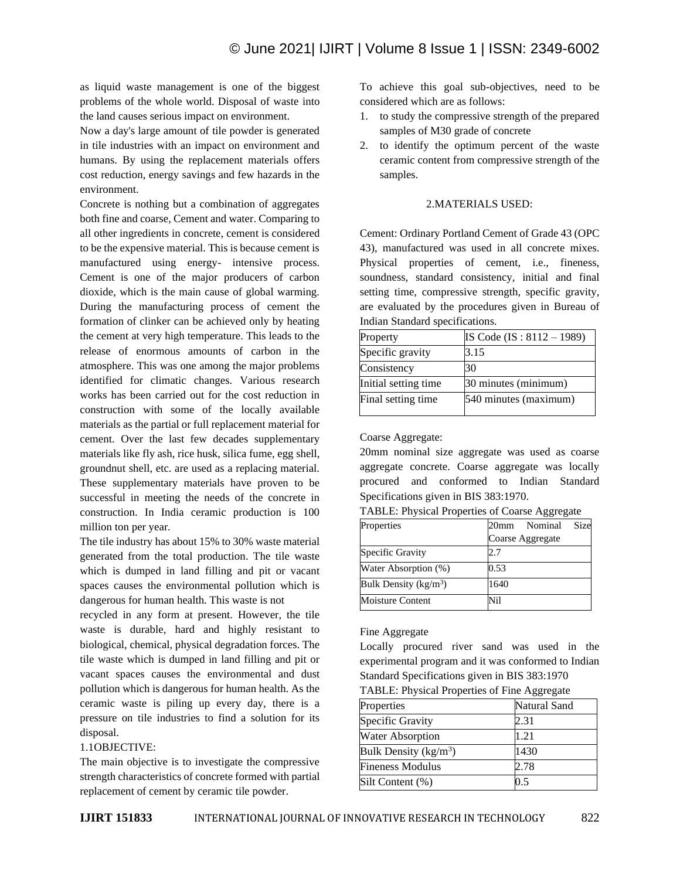as liquid waste management is one of the biggest problems of the whole world. Disposal of waste into the land causes serious impact on environment.

Now a day's large amount of tile powder is generated in tile industries with an impact on environment and humans. By using the replacement materials offers cost reduction, energy savings and few hazards in the environment.

Concrete is nothing but a combination of aggregates both fine and coarse, Cement and water. Comparing to all other ingredients in concrete, cement is considered to be the expensive material. This is because cement is manufactured using energy- intensive process. Cement is one of the major producers of carbon dioxide, which is the main cause of global warming. During the manufacturing process of cement the formation of clinker can be achieved only by heating the cement at very high temperature. This leads to the release of enormous amounts of carbon in the atmosphere. This was one among the major problems identified for climatic changes. Various research works has been carried out for the cost reduction in construction with some of the locally available materials as the partial or full replacement material for cement. Over the last few decades supplementary materials like fly ash, rice husk, silica fume, egg shell, groundnut shell, etc. are used as a replacing material. These supplementary materials have proven to be successful in meeting the needs of the concrete in construction. In India ceramic production is 100 million ton per year.

The tile industry has about 15% to 30% waste material generated from the total production. The tile waste which is dumped in land filling and pit or vacant spaces causes the environmental pollution which is dangerous for human health. This waste is not

recycled in any form at present. However, the tile waste is durable, hard and highly resistant to biological, chemical, physical degradation forces. The tile waste which is dumped in land filling and pit or vacant spaces causes the environmental and dust pollution which is dangerous for human health. As the ceramic waste is piling up every day, there is a pressure on tile industries to find a solution for its disposal.

#### 1.1OBJECTIVE:

The main objective is to investigate the compressive strength characteristics of concrete formed with partial replacement of cement by ceramic tile powder.

To achieve this goal sub-objectives, need to be considered which are as follows:

- 1. to study the compressive strength of the prepared samples of M30 grade of concrete
- 2. to identify the optimum percent of the waste ceramic content from compressive strength of the samples.

#### 2.MATERIALS USED:

Cement: Ordinary Portland Cement of Grade 43 (OPC 43), manufactured was used in all concrete mixes. Physical properties of cement, i.e., fineness, soundness, standard consistency, initial and final setting time, compressive strength, specific gravity, are evaluated by the procedures given in Bureau of Indian Standard specifications.

| Property             | IS Code $(IS: 8112 - 1989)$ |
|----------------------|-----------------------------|
| Specific gravity     | 3.15                        |
| Consistency          | 30                          |
| Initial setting time | 30 minutes (minimum)        |
| Final setting time   | 540 minutes (maximum)       |

## Coarse Aggregate:

20mm nominal size aggregate was used as coarse aggregate concrete. Coarse aggregate was locally procured and conformed to Indian Standard Specifications given in BIS 383:1970.

TABLE: Physical Properties of Coarse Aggregate

| Properties               | Size<br>20mm Nominal |
|--------------------------|----------------------|
|                          | Coarse Aggregate     |
| Specific Gravity         | 2.7                  |
| Water Absorption (%)     | 0.53                 |
| Bulk Density ( $kg/m3$ ) | 1640                 |
| <b>Moisture Content</b>  | Vil                  |

#### Fine Aggregate

Locally procured river sand was used in the experimental program and it was conformed to Indian Standard Specifications given in BIS 383:1970

TABLE: Physical Properties of Fine Aggregate

| Properties                       | Natural Sand |  |
|----------------------------------|--------------|--|
| Specific Gravity                 | 2.31         |  |
| <b>Water Absorption</b>          | 1.21         |  |
| Bulk Density ( $\text{kg/m}^3$ ) | 1430         |  |
| <b>Fineness Modulus</b>          | 2.78         |  |
| Silt Content (%)                 | 0.5          |  |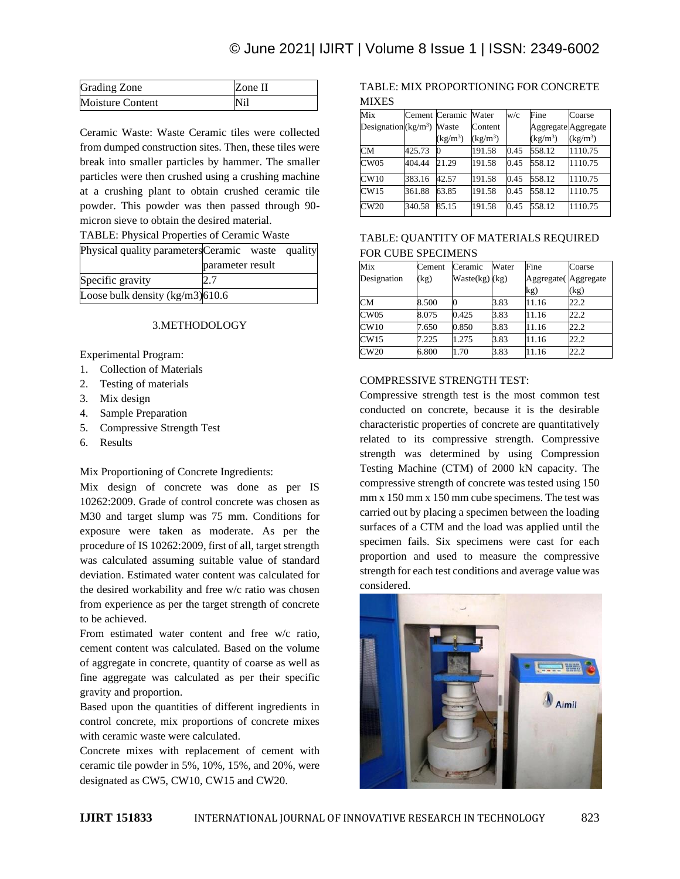| Grading Zone     | Zone II |
|------------------|---------|
| Moisture Content | Nil     |

Ceramic Waste: Waste Ceramic tiles were collected from dumped construction sites. Then, these tiles were break into smaller particles by hammer. The smaller particles were then crushed using a crushing machine at a crushing plant to obtain crushed ceramic tile powder. This powder was then passed through 90 micron sieve to obtain the desired material.

TABLE: Physical Properties of Ceramic Waste

| Physical quality parameters Ceramic waste quality |                  |  |
|---------------------------------------------------|------------------|--|
|                                                   | parameter result |  |
| Specific gravity                                  |                  |  |
| Loose bulk density $(kg/m3)$ 610.6                |                  |  |

## 3.METHODOLOGY

Experimental Program:

- 1. Collection of Materials
- 2. Testing of materials
- 3. Mix design
- 4. Sample Preparation
- 5. Compressive Strength Test
- 6. Results

Mix Proportioning of Concrete Ingredients:

Mix design of concrete was done as per IS 10262:2009. Grade of control concrete was chosen as M30 and target slump was 75 mm. Conditions for exposure were taken as moderate. As per the procedure of IS 10262:2009, first of all, target strength was calculated assuming suitable value of standard deviation. Estimated water content was calculated for the desired workability and free w/c ratio was chosen from experience as per the target strength of concrete to be achieved.

From estimated water content and free w/c ratio, cement content was calculated. Based on the volume of aggregate in concrete, quantity of coarse as well as fine aggregate was calculated as per their specific gravity and proportion.

Based upon the quantities of different ingredients in control concrete, mix proportions of concrete mixes with ceramic waste were calculated.

Concrete mixes with replacement of cement with ceramic tile powder in 5%, 10%, 15%, and 20%, were designated as CW5, CW10, CW15 and CW20.

## TABLE: MIX PROPORTIONING FOR CONCRETE **MIXES**

| Mix                         |        | Cement Ceramic | Water      | w/c  | Fine                           | Coarse                         |
|-----------------------------|--------|----------------|------------|------|--------------------------------|--------------------------------|
| Designation $(kg/m3)$ Waste |        |                | Content    |      | Aggregate Aggregate            |                                |
|                             |        | $(kg/m^3)$     | $(kg/m^3)$ |      | $\frac{\text{kg}}{\text{m}^3}$ | $\frac{\text{kg}}{\text{m}^3}$ |
| <b>CM</b>                   | 425.73 |                | 191.58     | 0.45 | 558.12                         | 1110.75                        |
| CW05                        | 404.44 | 21.29          | 191.58     | 0.45 | 558.12                         | 1110.75                        |
| CW10                        | 383.16 | 42.57          | 191.58     | 0.45 | 558.12                         | 1110.75                        |
| CW15                        | 361.88 | 63.85          | 191.58     | 0.45 | 558.12                         | 1110.75                        |
| CW20                        | 340.58 | 85.15          | 191.58     | 0.45 | 558.12                         | 1110.75                        |

# TABLE: QUANTITY OF MATERIALS REQUIRED FOR CUBE SPECIMENS

| Mix         | Cement | Ceramic        | Water | Fine                 | Coarse |
|-------------|--------|----------------|-------|----------------------|--------|
| Designation | (kg)   | Waste(kg) (kg) |       | Aggregate (Aggregate |        |
|             |        |                |       | kg)                  | (kg    |
| CМ          | 8.500  |                | 3.83  | 11.16                | 22.2   |
| CW05        | 8.075  | 0.425          | 3.83  | 11.16                | 22.2   |
| CW10        | 7.650  | 0.850          | 3.83  | 11.16                | 22.2   |
| CW15        | 7.225  | 1.275          | 3.83  | 11.16                | 22.2   |
| CW20        | 6.800  | 1.70           | 3.83  | 11.16                | 22.2   |

#### COMPRESSIVE STRENGTH TEST:

Compressive strength test is the most common test conducted on concrete, because it is the desirable characteristic properties of concrete are quantitatively related to its compressive strength. Compressive strength was determined by using Compression Testing Machine (CTM) of 2000 kN capacity. The compressive strength of concrete was tested using 150 mm x 150 mm x 150 mm cube specimens. The test was carried out by placing a specimen between the loading surfaces of a CTM and the load was applied until the specimen fails. Six specimens were cast for each proportion and used to measure the compressive strength for each test conditions and average value was considered.

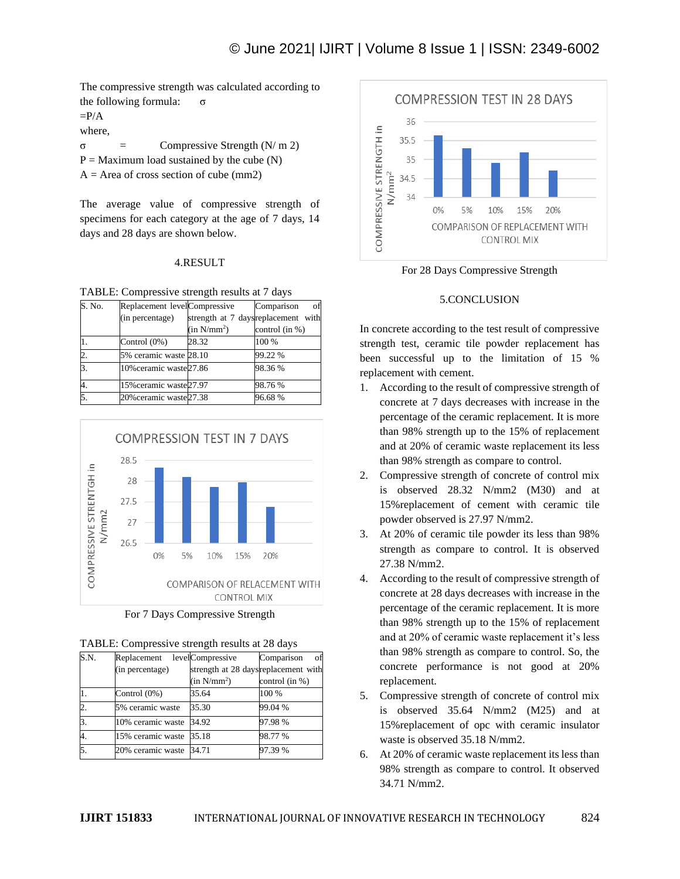The compressive strength was calculated according to the following formula:  $σ$ 

 $=$ P/A

where,

σ = Compressive Strength (N/ m 2)

 $P =$  Maximum load sustained by the cube  $(N)$ 

 $A = Area$  of cross section of cube (mm2)

The average value of compressive strength of specimens for each category at the age of 7 days, 14 days and 28 days are shown below.

## 4.RESULT

TABLE: Compressive strength results at 7 days

| S. No. | Replacement levelCompressive |                                     | Comparison<br>οt |
|--------|------------------------------|-------------------------------------|------------------|
|        | (in percentage)              | strength at 7 days replacement with |                  |
|        |                              | (in N/mm <sup>2</sup> )             | control (in %)   |
|        | Control $(0\%)$              | 28.32                               | 100 %            |
| 2.     | 5% ceramic waste 28.10       |                                     | 99.22 %          |
| 3.     | 10% ceramic waste 27.86      |                                     | 98.36%           |
|        | 15% ceramic waste 27.97      |                                     | 98.76%           |
|        | 20% ceramic waste 27.38      |                                     | 96.68%           |



For 7 Days Compressive Strength

| S.N.           | Replacement             | levelCompressive                     | Comparison<br>οf |
|----------------|-------------------------|--------------------------------------|------------------|
|                | (in percentage)         | strength at 28 days replacement with |                  |
|                |                         | (in N/mm <sup>2</sup> )              | control (in %)   |
|                | Control $(0\%)$         | 35.64                                | 100 %            |
| 2.             | 5% ceramic waste        | 35.30                                | 99.04 %          |
| $\mathbf{3}$ . | 10% ceramic waste       | 34.92                                | 97.98%           |
| 4.             | 15% ceramic waste       | 35.18                                | 98.77 %          |
| 5.             | 20% ceramic waste 34.71 |                                      | 97.39 %          |



For 28 Days Compressive Strength

# 5.CONCLUSION

In concrete according to the test result of compressive strength test, ceramic tile powder replacement has been successful up to the limitation of 15 % replacement with cement.

- 1. According to the result of compressive strength of concrete at 7 days decreases with increase in the percentage of the ceramic replacement. It is more than 98% strength up to the 15% of replacement and at 20% of ceramic waste replacement its less than 98% strength as compare to control.
- 2. Compressive strength of concrete of control mix is observed 28.32 N/mm2 (M30) and at 15%replacement of cement with ceramic tile powder observed is 27.97 N/mm2.
- 3. At 20% of ceramic tile powder its less than 98% strength as compare to control. It is observed 27.38 N/mm2.
- 4. According to the result of compressive strength of concrete at 28 days decreases with increase in the percentage of the ceramic replacement. It is more than 98% strength up to the 15% of replacement and at 20% of ceramic waste replacement it's less than 98% strength as compare to control. So, the concrete performance is not good at 20% replacement.
- 5. Compressive strength of concrete of control mix is observed 35.64 N/mm2 (M25) and at 15%replacement of opc with ceramic insulator waste is observed 35.18 N/mm2.
- 6. At 20% of ceramic waste replacement its less than 98% strength as compare to control. It observed 34.71 N/mm2.